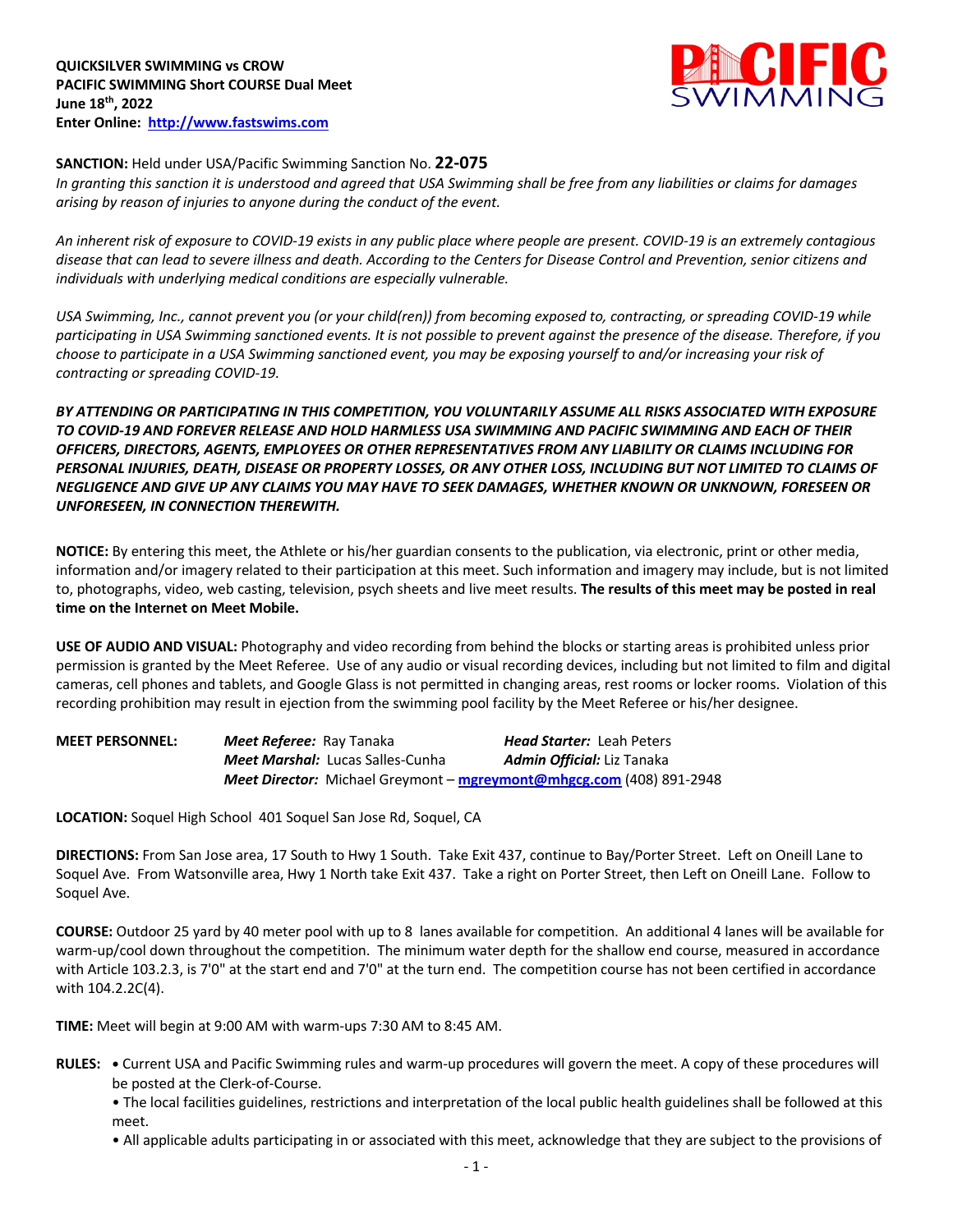

## **SANCTION:** Held under USA/Pacific Swimming Sanction No. **22-075**

*In granting this sanction it is understood and agreed that USA Swimming shall be free from any liabilities or claims for damages arising by reason of injuries to anyone during the conduct of the event.* 

*An inherent risk of exposure to COVID-19 exists in any public place where people are present. COVID-19 is an extremely contagious disease that can lead to severe illness and death. According to the Centers for Disease Control and Prevention, senior citizens and individuals with underlying medical conditions are especially vulnerable.*

*USA Swimming, Inc., cannot prevent you (or your child(ren)) from becoming exposed to, contracting, or spreading COVID-19 while participating in USA Swimming sanctioned events. It is not possible to prevent against the presence of the disease. Therefore, if you choose to participate in a USA Swimming sanctioned event, you may be exposing yourself to and/or increasing your risk of contracting or spreading COVID-19.*

*BY ATTENDING OR PARTICIPATING IN THIS COMPETITION, YOU VOLUNTARILY ASSUME ALL RISKS ASSOCIATED WITH EXPOSURE TO COVID-19 AND FOREVER RELEASE AND HOLD HARMLESS USA SWIMMING AND PACIFIC SWIMMING AND EACH OF THEIR OFFICERS, DIRECTORS, AGENTS, EMPLOYEES OR OTHER REPRESENTATIVES FROM ANY LIABILITY OR CLAIMS INCLUDING FOR PERSONAL INJURIES, DEATH, DISEASE OR PROPERTY LOSSES, OR ANY OTHER LOSS, INCLUDING BUT NOT LIMITED TO CLAIMS OF NEGLIGENCE AND GIVE UP ANY CLAIMS YOU MAY HAVE TO SEEK DAMAGES, WHETHER KNOWN OR UNKNOWN, FORESEEN OR UNFORESEEN, IN CONNECTION THEREWITH.*

**NOTICE:** By entering this meet, the Athlete or his/her guardian consents to the publication, via electronic, print or other media, information and/or imagery related to their participation at this meet. Such information and imagery may include, but is not limited to, photographs, video, web casting, television, psych sheets and live meet results. **The results of this meet may be posted in real time on the Internet on Meet Mobile.**

**USE OF AUDIO AND VISUAL:** Photography and video recording from behind the blocks or starting areas is prohibited unless prior permission is granted by the Meet Referee. Use of any audio or visual recording devices, including but not limited to film and digital cameras, cell phones and tablets, and Google Glass is not permitted in changing areas, rest rooms or locker rooms. Violation of this recording prohibition may result in ejection from the swimming pool facility by the Meet Referee or his/her designee.

| <b>MEET PERSONNEL:</b> | <b>Meet Referee:</b> Ray Tanaka |                                         | <b>Head Starter: Leah Peters</b>                                            |
|------------------------|---------------------------------|-----------------------------------------|-----------------------------------------------------------------------------|
|                        |                                 | <b>Meet Marshal:</b> Lucas Salles-Cunha | <b>Admin Official:</b> Liz Tanaka                                           |
|                        |                                 |                                         | <b>Meet Director:</b> Michael Greymont – mgreymont@mhgcg.com (408) 891-2948 |

**LOCATION:** Soquel High School 401 Soquel San Jose Rd, Soquel, CA

**DIRECTIONS:** From San Jose area, 17 South to Hwy 1 South. Take Exit 437, continue to Bay/Porter Street. Left on Oneill Lane to Soquel Ave. From Watsonville area, Hwy 1 North take Exit 437. Take a right on Porter Street, then Left on Oneill Lane. Follow to Soquel Ave.

**COURSE:** Outdoor 25 yard by 40 meter pool with up to 8 lanes available for competition. An additional 4 lanes will be available for warm-up/cool down throughout the competition. The minimum water depth for the shallow end course, measured in accordance with Article 103.2.3, is 7'0" at the start end and 7'0" at the turn end. The competition course has not been certified in accordance with 104.2.2C(4).

**TIME:** Meet will begin at 9:00 AM with warm-ups 7:30 AM to 8:45 AM.

- **RULES: •** Current USA and Pacific Swimming rules and warm-up procedures will govern the meet. A copy of these procedures will be posted at the Clerk-of-Course.
	- The local facilities guidelines, restrictions and interpretation of the local public health guidelines shall be followed at this meet.
	- All applicable adults participating in or associated with this meet, acknowledge that they are subject to the provisions of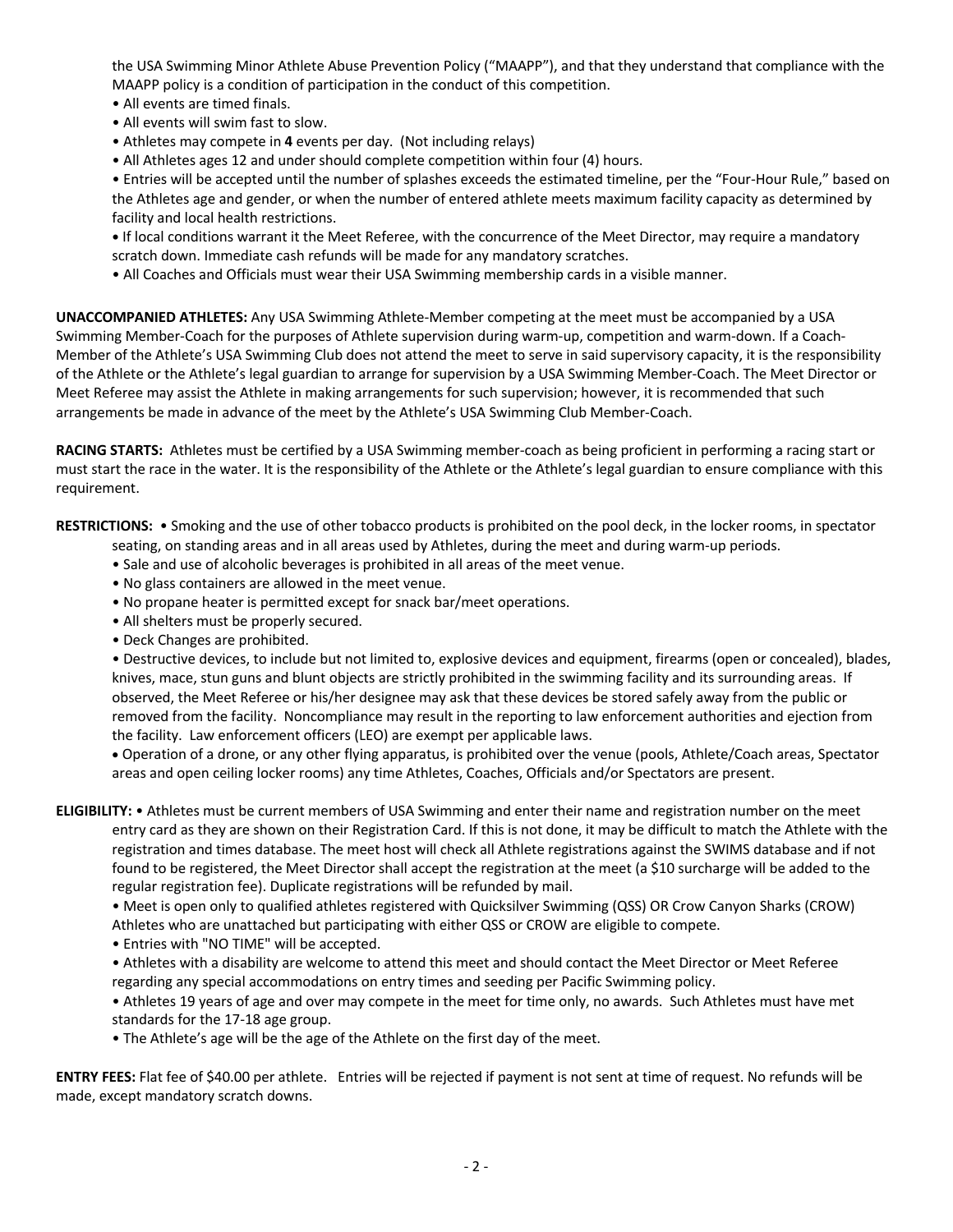the USA Swimming Minor Athlete Abuse Prevention Policy ("MAAPP"), and that they understand that compliance with the MAAPP policy is a condition of participation in the conduct of this competition.

- All events are timed finals.
- All events will swim fast to slow.
- Athletes may compete in **4** events per day. (Not including relays)
- All Athletes ages 12 and under should complete competition within four (4) hours.

• Entries will be accepted until the number of splashes exceeds the estimated timeline, per the "Four-Hour Rule," based on the Athletes age and gender, or when the number of entered athlete meets maximum facility capacity as determined by facility and local health restrictions.

- **•** If local conditions warrant it the Meet Referee, with the concurrence of the Meet Director, may require a mandatory scratch down. Immediate cash refunds will be made for any mandatory scratches.
- All Coaches and Officials must wear their USA Swimming membership cards in a visible manner.

**UNACCOMPANIED ATHLETES:** Any USA Swimming Athlete-Member competing at the meet must be accompanied by a USA Swimming Member-Coach for the purposes of Athlete supervision during warm-up, competition and warm-down. If a Coach-Member of the Athlete's USA Swimming Club does not attend the meet to serve in said supervisory capacity, it is the responsibility of the Athlete or the Athlete's legal guardian to arrange for supervision by a USA Swimming Member-Coach. The Meet Director or Meet Referee may assist the Athlete in making arrangements for such supervision; however, it is recommended that such arrangements be made in advance of the meet by the Athlete's USA Swimming Club Member-Coach.

**RACING STARTS:** Athletes must be certified by a USA Swimming member-coach as being proficient in performing a racing start or must start the race in the water. It is the responsibility of the Athlete or the Athlete's legal guardian to ensure compliance with this requirement.

**RESTRICTIONS:** • Smoking and the use of other tobacco products is prohibited on the pool deck, in the locker rooms, in spectator

- seating, on standing areas and in all areas used by Athletes, during the meet and during warm-up periods.
- Sale and use of alcoholic beverages is prohibited in all areas of the meet venue.
- No glass containers are allowed in the meet venue.
- No propane heater is permitted except for snack bar/meet operations.
- All shelters must be properly secured.
- Deck Changes are prohibited.

• Destructive devices, to include but not limited to, explosive devices and equipment, firearms (open or concealed), blades, knives, mace, stun guns and blunt objects are strictly prohibited in the swimming facility and its surrounding areas. If observed, the Meet Referee or his/her designee may ask that these devices be stored safely away from the public or removed from the facility. Noncompliance may result in the reporting to law enforcement authorities and ejection from the facility. Law enforcement officers (LEO) are exempt per applicable laws.

• Operation of a drone, or any other flying apparatus, is prohibited over the venue (pools, Athlete/Coach areas, Spectator areas and open ceiling locker rooms) any time Athletes, Coaches, Officials and/or Spectators are present.

**ELIGIBILITY:** • Athletes must be current members of USA Swimming and enter their name and registration number on the meet entry card as they are shown on their Registration Card. If this is not done, it may be difficult to match the Athlete with the registration and times database. The meet host will check all Athlete registrations against the SWIMS database and if not found to be registered, the Meet Director shall accept the registration at the meet (a \$10 surcharge will be added to the regular registration fee). Duplicate registrations will be refunded by mail.

• Meet is open only to qualified athletes registered with Quicksilver Swimming (QSS) OR Crow Canyon Sharks (CROW)

Athletes who are unattached but participating with either QSS or CROW are eligible to compete.

- Entries with "NO TIME" will be accepted.
- Athletes with a disability are welcome to attend this meet and should contact the Meet Director or Meet Referee regarding any special accommodations on entry times and seeding per Pacific Swimming policy.

• Athletes 19 years of age and over may compete in the meet for time only, no awards. Such Athletes must have met standards for the 17-18 age group.

• The Athlete's age will be the age of the Athlete on the first day of the meet.

**ENTRY FEES:** Flat fee of \$40.00 per athlete. Entries will be rejected if payment is not sent at time of request. No refunds will be made, except mandatory scratch downs.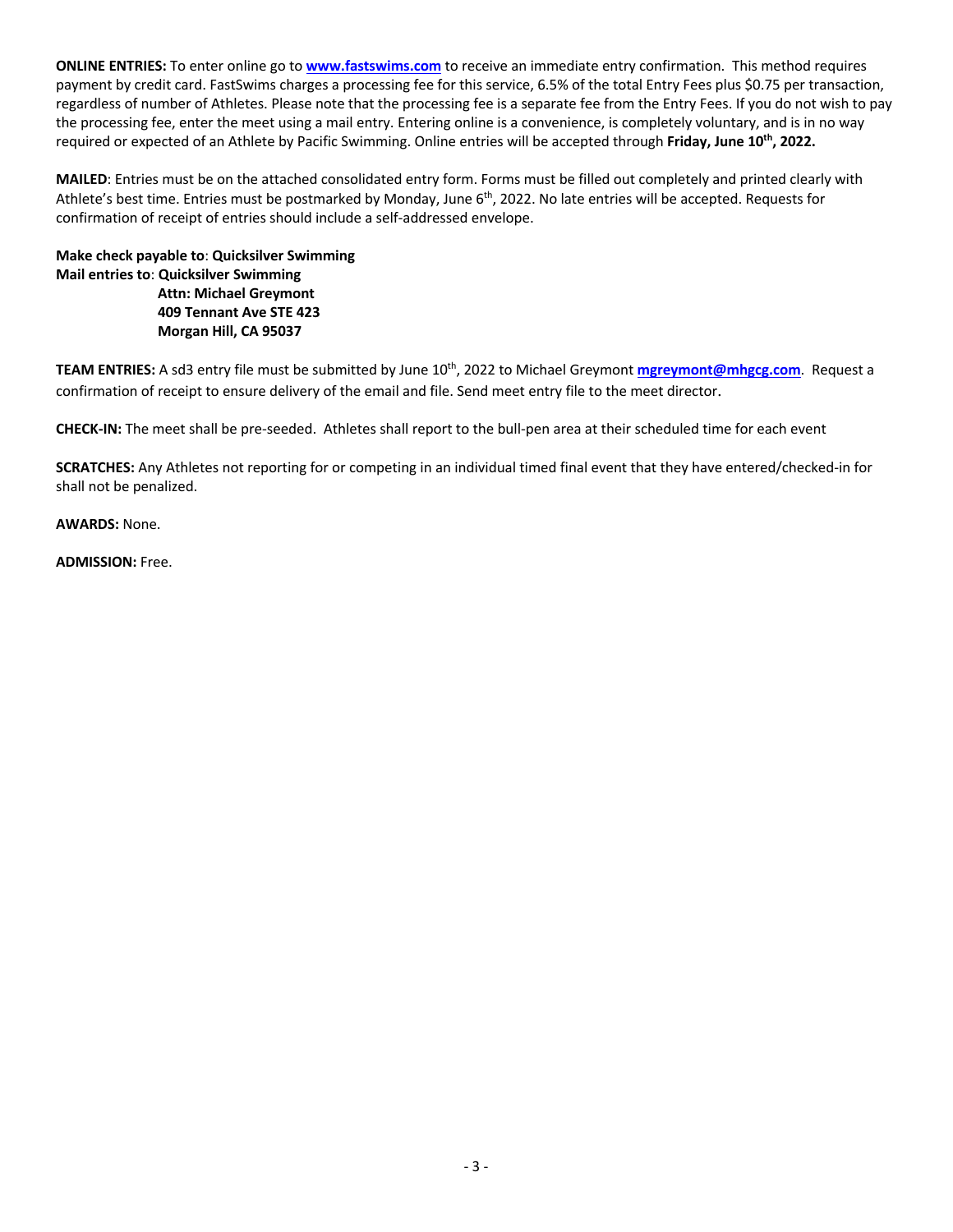**ONLINE ENTRIES:** To enter online go to **www.fastswims.com** to receive an immediate entry confirmation. This method requires payment by credit card. FastSwims charges a processing fee for this service, 6.5% of the total Entry Fees plus \$0.75 per transaction, regardless of number of Athletes. Please note that the processing fee is a separate fee from the Entry Fees. If you do not wish to pay the processing fee, enter the meet using a mail entry. Entering online is a convenience, is completely voluntary, and is in no way required or expected of an Athlete by Pacific Swimming. Online entries will be accepted through **Friday, June 10th, 2022.**

**MAILED**: Entries must be on the attached consolidated entry form. Forms must be filled out completely and printed clearly with Athlete's best time. Entries must be postmarked by Monday, June 6<sup>th</sup>, 2022. No late entries will be accepted. Requests for confirmation of receipt of entries should include a self-addressed envelope.

**Make check payable to**: **Quicksilver Swimming Mail entries to**: **Quicksilver Swimming Attn: Michael Greymont 409 Tennant Ave STE 423 Morgan Hill, CA 95037** 

**TEAM ENTRIES:** A sd3 entry file must be submitted by June 10th, 2022 to Michael Greymont **mgreymont@mhgcg.com**. Request a confirmation of receipt to ensure delivery of the email and file. Send meet entry file to the meet director.

**CHECK-IN:** The meet shall be pre-seeded. Athletes shall report to the bull-pen area at their scheduled time for each event

**SCRATCHES:** Any Athletes not reporting for or competing in an individual timed final event that they have entered/checked-in for shall not be penalized.

**AWARDS:** None.

**ADMISSION:** Free.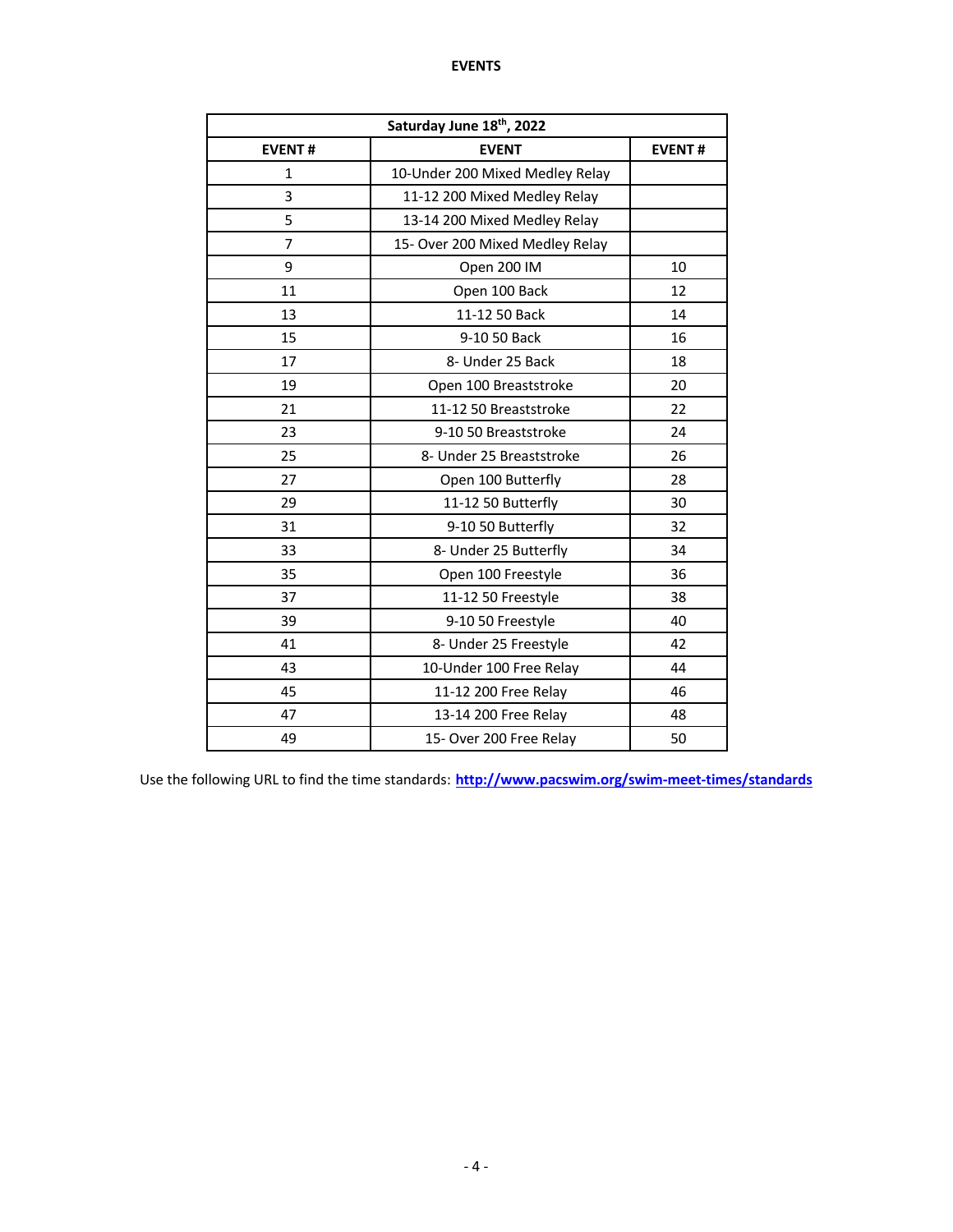| Saturday June 18th, 2022 |                                 |               |  |  |  |
|--------------------------|---------------------------------|---------------|--|--|--|
| <b>EVENT#</b>            | <b>EVENT</b>                    | <b>EVENT#</b> |  |  |  |
| 1                        | 10-Under 200 Mixed Medley Relay |               |  |  |  |
| 3                        | 11-12 200 Mixed Medley Relay    |               |  |  |  |
| 5                        | 13-14 200 Mixed Medley Relay    |               |  |  |  |
| 7                        | 15- Over 200 Mixed Medley Relay |               |  |  |  |
| 9                        | Open 200 IM                     | 10            |  |  |  |
| 11                       | Open 100 Back                   | 12            |  |  |  |
| 13                       | 11-12 50 Back                   | 14            |  |  |  |
| 15                       | 9-10 50 Back                    | 16            |  |  |  |
| 17                       | 8- Under 25 Back                | 18            |  |  |  |
| 19                       | Open 100 Breaststroke           | 20            |  |  |  |
| 21                       | 11-12 50 Breaststroke           | 22            |  |  |  |
| 23                       | 9-10 50 Breaststroke            | 24            |  |  |  |
| 25                       | 8- Under 25 Breaststroke        | 26            |  |  |  |
| 27                       | Open 100 Butterfly              | 28            |  |  |  |
| 29                       | 11-12 50 Butterfly              | 30            |  |  |  |
| 31                       | 9-10 50 Butterfly               | 32            |  |  |  |
| 33                       | 8- Under 25 Butterfly           | 34            |  |  |  |
| 35                       | Open 100 Freestyle              | 36            |  |  |  |
| 37                       | 11-12 50 Freestyle              | 38            |  |  |  |
| 39                       | 9-10 50 Freestyle               | 40            |  |  |  |
| 41                       | 8- Under 25 Freestyle           | 42            |  |  |  |
| 43                       | 10-Under 100 Free Relay         | 44            |  |  |  |
| 45                       | 11-12 200 Free Relay            | 46            |  |  |  |
| 47                       | 13-14 200 Free Relay            | 48            |  |  |  |
| 49                       | 15- Over 200 Free Relay         | 50            |  |  |  |

Use the following URL to find the time standards: **http://www.pacswim.org/swim-meet-times/standards**